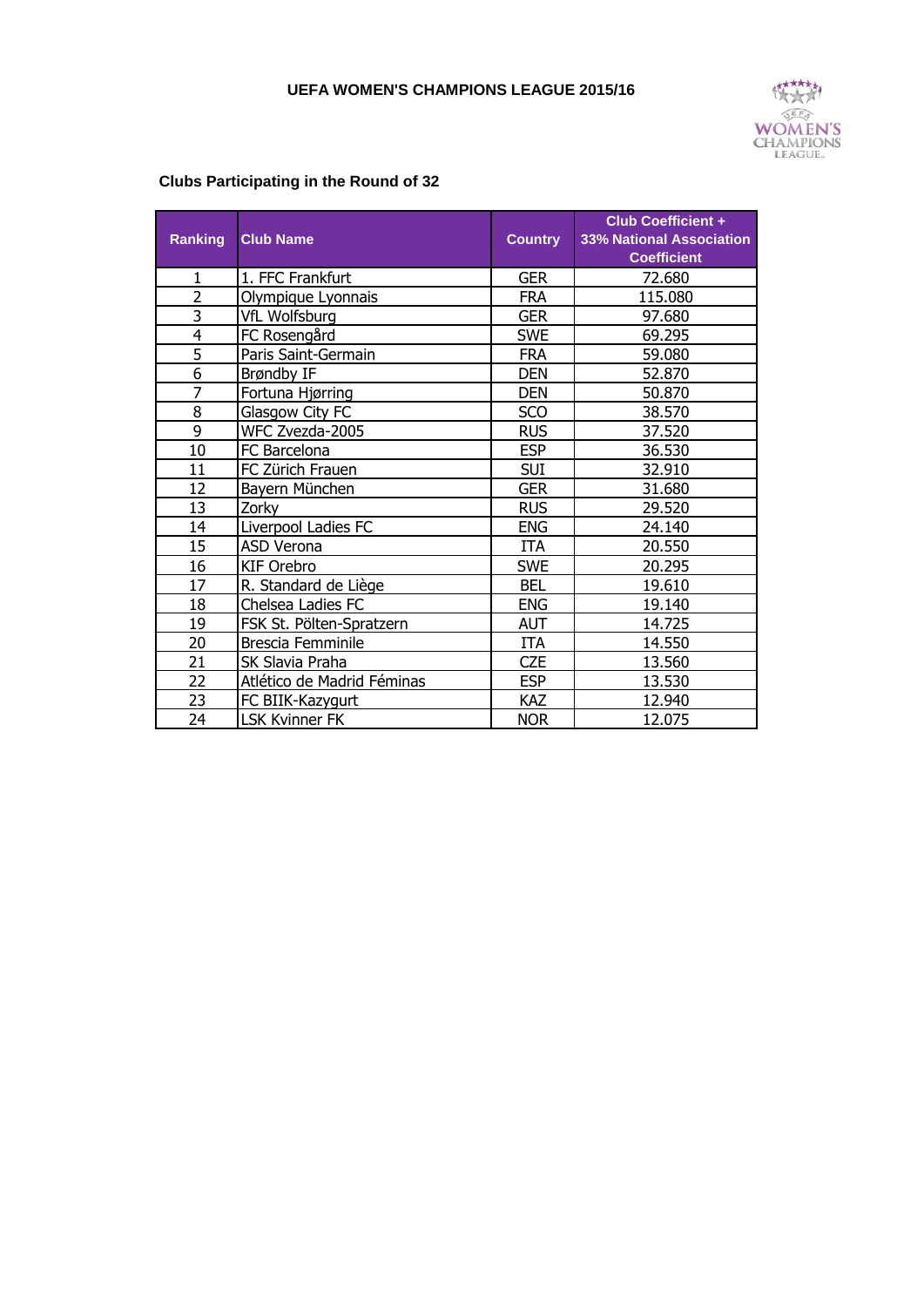

## **Clubs Participating in the Round of 32**

| <b>Ranking</b> | <b>Club Name</b>            | <b>Country</b> | <b>Club Coefficient +</b><br><b>33% National Association</b><br><b>Coefficient</b> |
|----------------|-----------------------------|----------------|------------------------------------------------------------------------------------|
| 1              | 1. FFC Frankfurt            | <b>GER</b>     | 72.680                                                                             |
| $\overline{2}$ | Olympique Lyonnais          | <b>FRA</b>     | 115.080                                                                            |
| $\overline{3}$ | VfL Wolfsburg               | <b>GER</b>     | 97.680                                                                             |
| 4              | FC Rosengård                | <b>SWE</b>     | 69.295                                                                             |
| 5              | Paris Saint-Germain         | <b>FRA</b>     | 59.080                                                                             |
| 6              | Brøndby IF                  | <b>DEN</b>     | 52.870                                                                             |
| $\overline{7}$ | Fortuna Hjørring            | <b>DEN</b>     | 50.870                                                                             |
| 8              | Glasgow City FC             | <b>SCO</b>     | 38.570                                                                             |
| 9              | WFC Zvezda-2005             | <b>RUS</b>     | 37.520                                                                             |
| 10             | FC Barcelona                | <b>ESP</b>     | 36.530                                                                             |
| 11             | FC Zürich Frauen            | <b>SUI</b>     | 32.910                                                                             |
| 12             | Bayern München              | <b>GER</b>     | 31.680                                                                             |
| 13             | Zorky                       | <b>RUS</b>     | 29.520                                                                             |
| 14             | Liverpool Ladies FC         | <b>ENG</b>     | 24.140                                                                             |
| 15             | ASD Verona                  | <b>ITA</b>     | 20.550                                                                             |
| 16             | KIF Orebro                  | <b>SWE</b>     | 20.295                                                                             |
| 17             | <u>R. Standard de Liège</u> | <b>BEL</b>     | 19.610                                                                             |
| 18             | Chelsea Ladies FC           | <b>ENG</b>     | 19.140                                                                             |
| 19             | FSK St. Pölten-Spratzern    | <b>AUT</b>     | 14.725                                                                             |
| 20             | Brescia Femminile           | <b>ITA</b>     | 14.550                                                                             |
| 21             | SK Slavia Praha             | <b>CZE</b>     | 13.560                                                                             |
| 22             | Atlético de Madrid Féminas  | <b>ESP</b>     | 13.530                                                                             |
| 23             | FC BIIK-Kazygurt            | KAZ            | 12.940                                                                             |
| 24             | <b>LSK Kvinner FK</b>       | <b>NOR</b>     | 12.075                                                                             |